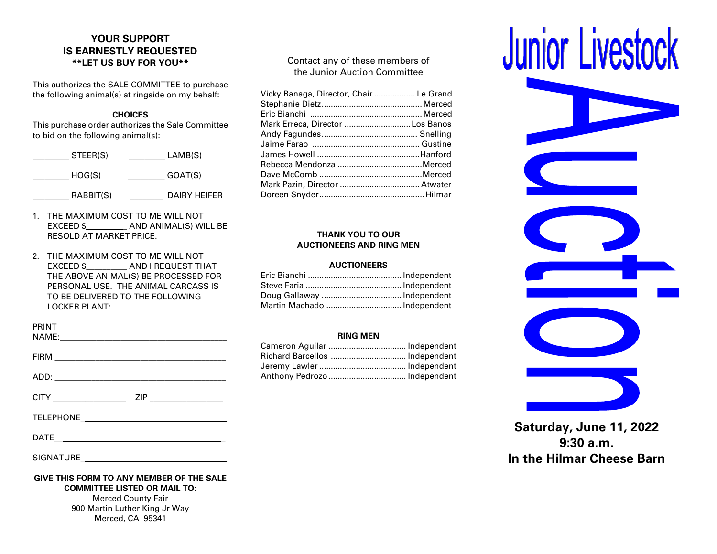# **YOUR SUPPORT IS EARNESTLY REQUESTED \*\*LET US BUY FOR YOU\*\***

This authorizes the SALE COMMITTEE to purchase the following animal(s) at ringside on my behalf:

## **CHOICES**

This purchase order authorizes the Sale Committee to bid on the following animal(s):

| STEER(S)  | LAMB(S)      |
|-----------|--------------|
| HOG(S)    | GOAT(S)      |
| RABBIT(S) | DAIRY HEIFER |

- 1. THE MAXIMUM COST TO ME WILL NOT EXCEED \$ AND ANIMAL(S) WILL BE RESOLD AT MARKET PRICE.
- 2. THE MAXIMUM COST TO ME WILL NOT EXCEED \$\_\_\_\_\_\_\_\_\_\_ AND I REQUEST THAT THE ABOVE ANIMAL(S) BE PROCESSED FOR PERSONAL USE. THE ANIMAL CARCASS IS TO BE DELIVERED TO THE FOLLOWING LOCKER PLANT:

| PRINT                                    |
|------------------------------------------|
| $FIRM \_$                                |
|                                          |
| ZIP<br>CITY _________________            |
|                                          |
|                                          |
|                                          |
| GIVE THIS FORM TO ANY MEMBER OF THE SALE |

**COMMITTEE LISTED OR MAIL TO:** Merced County Fair

900 Martin Luther King Jr Way Merced, CA 95341

Contact any of these members of the Junior Auction Committee

| Vicky Banaga, Director, Chair  Le Grand |  |
|-----------------------------------------|--|
|                                         |  |
|                                         |  |
| Mark Erreca, Director Los Banos         |  |
|                                         |  |
|                                         |  |
|                                         |  |
|                                         |  |
|                                         |  |
|                                         |  |
|                                         |  |
|                                         |  |

### **THANK YOU TO OUR AUCTIONEERS AND RING MEN**

### **AUCTIONEERS**

| Martin Machado  Independent |  |
|-----------------------------|--|

### **RING MEN**

| Cameron Aguilar  Independent   |  |
|--------------------------------|--|
| Richard Barcellos  Independent |  |
|                                |  |
|                                |  |



**Saturday, June 11, 2022 9:30 a.m. In the Hilmar Cheese Barn**